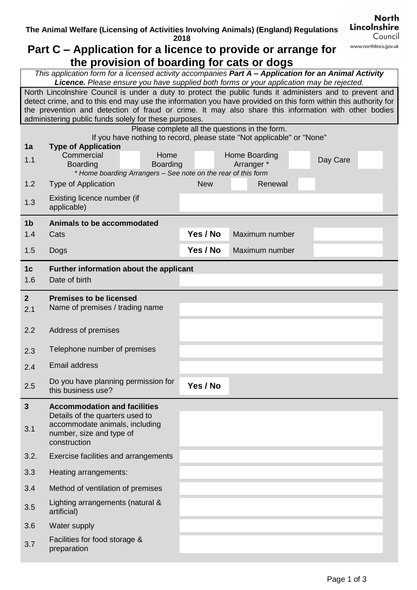*This application form for a licensed activity accompanies Part A – Application for an Animal Activity Licence. Please ensure you have supplied both forms or your application may be rejected.*

North Lincolnshire Council is under a duty to protect the public funds it administers and to prevent and detect crime, and to this end may use the information you have provided on this form within this authority for the prevention and detection of fraud or crime. It may also share this information with other bodies administering public funds solely for these purposes.

|                       | Please complete all the questions in the form.                                                                            |                                         |                |  |  |  |  |  |  |
|-----------------------|---------------------------------------------------------------------------------------------------------------------------|-----------------------------------------|----------------|--|--|--|--|--|--|
| 1a                    | If you have nothing to record, please state "Not applicable" or "None"<br><b>Type of Application</b>                      |                                         |                |  |  |  |  |  |  |
| 1.1                   | Commercial<br>Home<br><b>Boarding</b><br><b>Boarding</b><br>* Home boarding Arrangers - See note on the rear of this form | Home Boarding<br>Day Care<br>Arranger * |                |  |  |  |  |  |  |
| 1.2                   | <b>Type of Application</b>                                                                                                | <b>New</b>                              | Renewal        |  |  |  |  |  |  |
| 1.3                   | Existing licence number (if<br>applicable)                                                                                |                                         |                |  |  |  |  |  |  |
| 1 <sub>b</sub>        | Animals to be accommodated                                                                                                |                                         |                |  |  |  |  |  |  |
| 1.4                   | Cats                                                                                                                      | Yes / No                                | Maximum number |  |  |  |  |  |  |
| 1.5                   | Dogs                                                                                                                      | Yes / No                                | Maximum number |  |  |  |  |  |  |
| 1 <sub>c</sub><br>1.6 | Further information about the applicant<br>Date of birth                                                                  |                                         |                |  |  |  |  |  |  |
| 2 <sup>2</sup><br>2.1 | <b>Premises to be licensed</b><br>Name of premises / trading name                                                         |                                         |                |  |  |  |  |  |  |
| 2.2                   | Address of premises                                                                                                       |                                         |                |  |  |  |  |  |  |
| 2.3                   | Telephone number of premises                                                                                              |                                         |                |  |  |  |  |  |  |
| 2.4                   | <b>Email address</b>                                                                                                      |                                         |                |  |  |  |  |  |  |
| 2.5                   | Do you have planning permission for<br>this business use?                                                                 | Yes / No                                |                |  |  |  |  |  |  |
| $\mathbf{3}$          | <b>Accommodation and facilities</b>                                                                                       |                                         |                |  |  |  |  |  |  |
| 3.1                   | Details of the quarters used to<br>accommodate animals, including<br>number, size and type of<br>construction             |                                         |                |  |  |  |  |  |  |
| 3.2.                  | Exercise facilities and arrangements                                                                                      |                                         |                |  |  |  |  |  |  |
| 3.3                   | Heating arrangements:                                                                                                     |                                         |                |  |  |  |  |  |  |
| 3.4                   | Method of ventilation of premises                                                                                         |                                         |                |  |  |  |  |  |  |
| 3.5                   | Lighting arrangements (natural &<br>artificial)                                                                           |                                         |                |  |  |  |  |  |  |
| 3.6                   | Water supply                                                                                                              |                                         |                |  |  |  |  |  |  |
| 3.7                   | Facilities for food storage &<br>preparation                                                                              |                                         |                |  |  |  |  |  |  |

**North Lincolnshire** Council

www.northlincs.gov.uk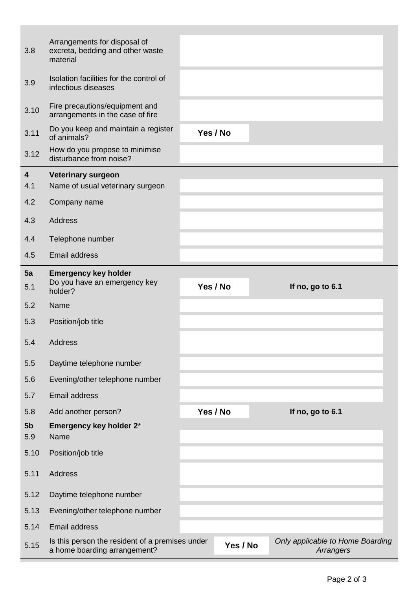| 3.8                   | Arrangements for disposal of<br>excreta, bedding and other waste<br>material    |          |          |                                               |
|-----------------------|---------------------------------------------------------------------------------|----------|----------|-----------------------------------------------|
| 3.9                   | Isolation facilities for the control of<br>infectious diseases                  |          |          |                                               |
| 3.10                  | Fire precautions/equipment and<br>arrangements in the case of fire              |          |          |                                               |
| 3.11                  | Do you keep and maintain a register<br>of animals?                              |          | Yes / No |                                               |
| 3.12                  | How do you propose to minimise<br>disturbance from noise?                       |          |          |                                               |
| 4<br>4.1              | <b>Veterinary surgeon</b><br>Name of usual veterinary surgeon                   |          |          |                                               |
| 4.2                   | Company name                                                                    |          |          |                                               |
| 4.3                   | Address                                                                         |          |          |                                               |
| 4.4                   | Telephone number                                                                |          |          |                                               |
| 4.5                   | <b>Email address</b>                                                            |          |          |                                               |
| 5a<br>5.1             | <b>Emergency key holder</b><br>Do you have an emergency key<br>holder?          | Yes / No |          | If no, go to 6.1                              |
| 5.2                   | Name                                                                            |          |          |                                               |
| 5.3                   | Position/job title                                                              |          |          |                                               |
| 5.4                   | Address                                                                         |          |          |                                               |
| 5.5                   | Daytime telephone number                                                        |          |          |                                               |
| 5.6                   | Evening/other telephone number                                                  |          |          |                                               |
| 5.7                   | <b>Email address</b>                                                            |          |          |                                               |
| 5.8                   | Add another person?                                                             |          | Yes / No | If no, go to 6.1                              |
| 5 <sub>b</sub><br>5.9 | Emergency key holder 2*<br>Name                                                 |          |          |                                               |
| 5.10                  | Position/job title                                                              |          |          |                                               |
| 5.11                  | Address                                                                         |          |          |                                               |
| 5.12                  | Daytime telephone number                                                        |          |          |                                               |
| 5.13                  | Evening/other telephone number                                                  |          |          |                                               |
| 5.14                  | <b>Email address</b>                                                            |          |          |                                               |
| 5.15                  | Is this person the resident of a premises under<br>a home boarding arrangement? |          | Yes / No | Only applicable to Home Boarding<br>Arrangers |